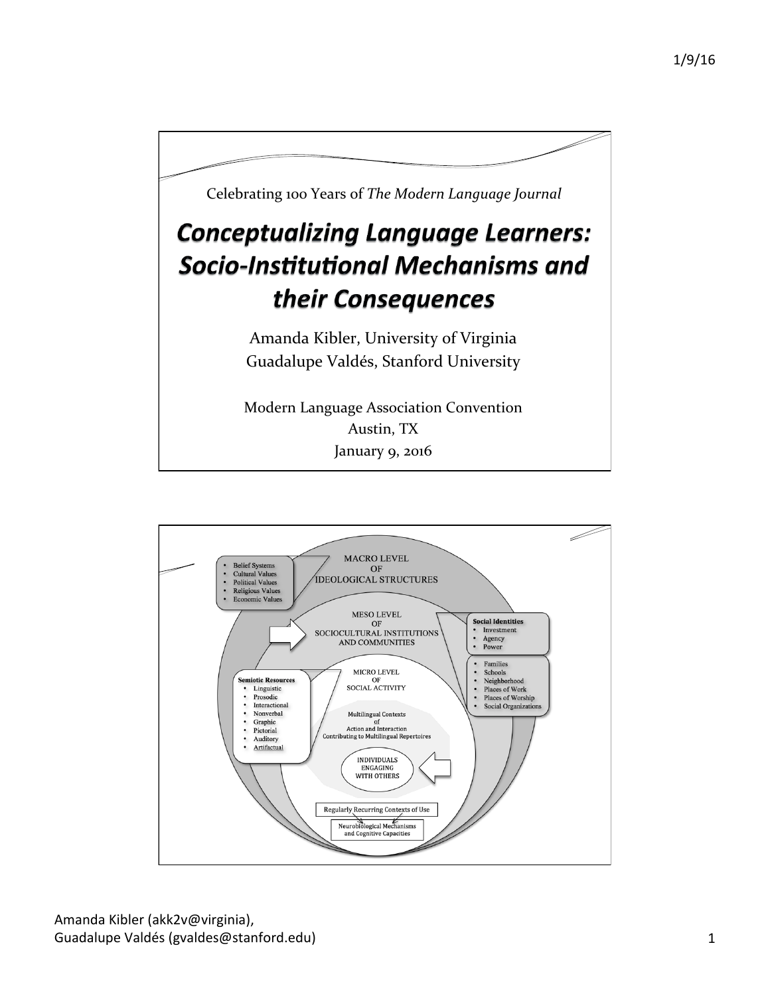

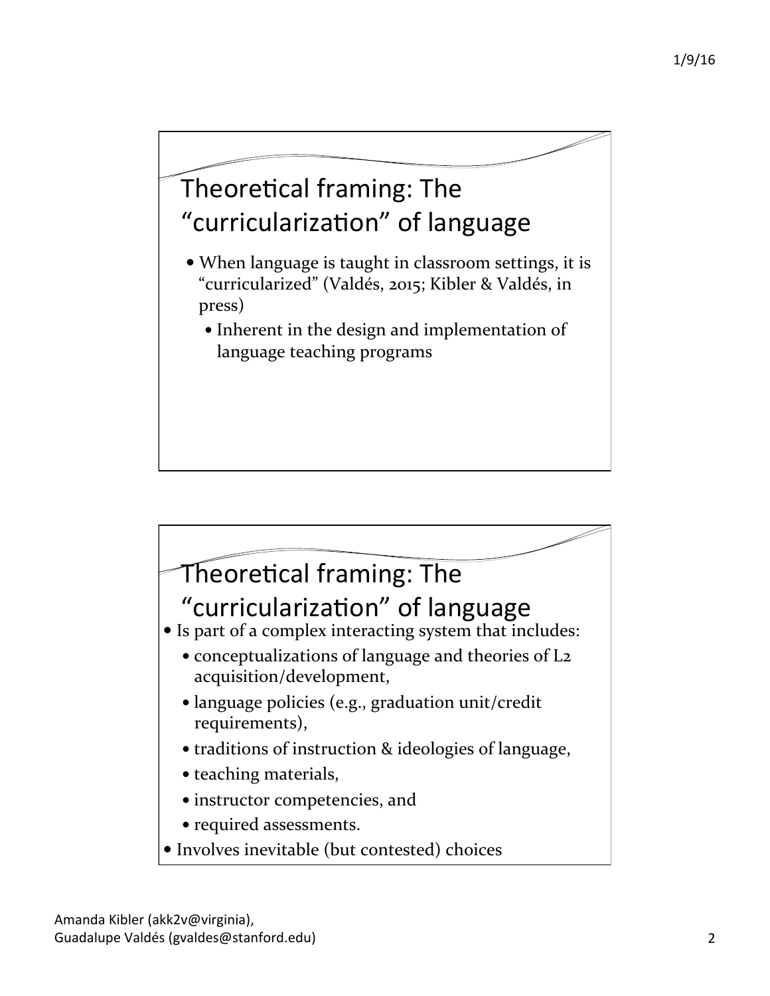## Theoretical framing: The "curricularization" of language

- When language is taught in classroom settings, it is "curricularized" (Valdés, 2015; Kibler & Valdés, in press)
	- Inherent in the design and implementation of language teaching programs

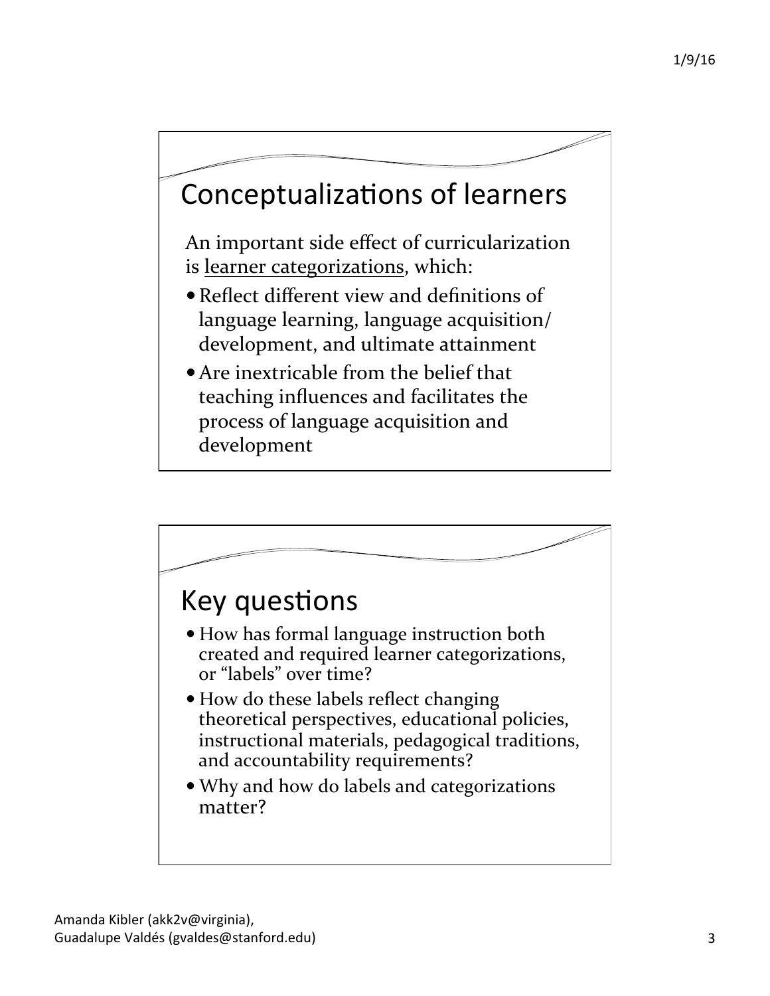## Conceptualizations of learners

An important side effect of curricularization is learner categorizations, which:

- Reflect different view and definitions of language learning, language acquisition/ development, and ultimate attainment
- $\bullet$  Are inextricable from the belief that teaching influences and facilitates the process of language acquisition and development

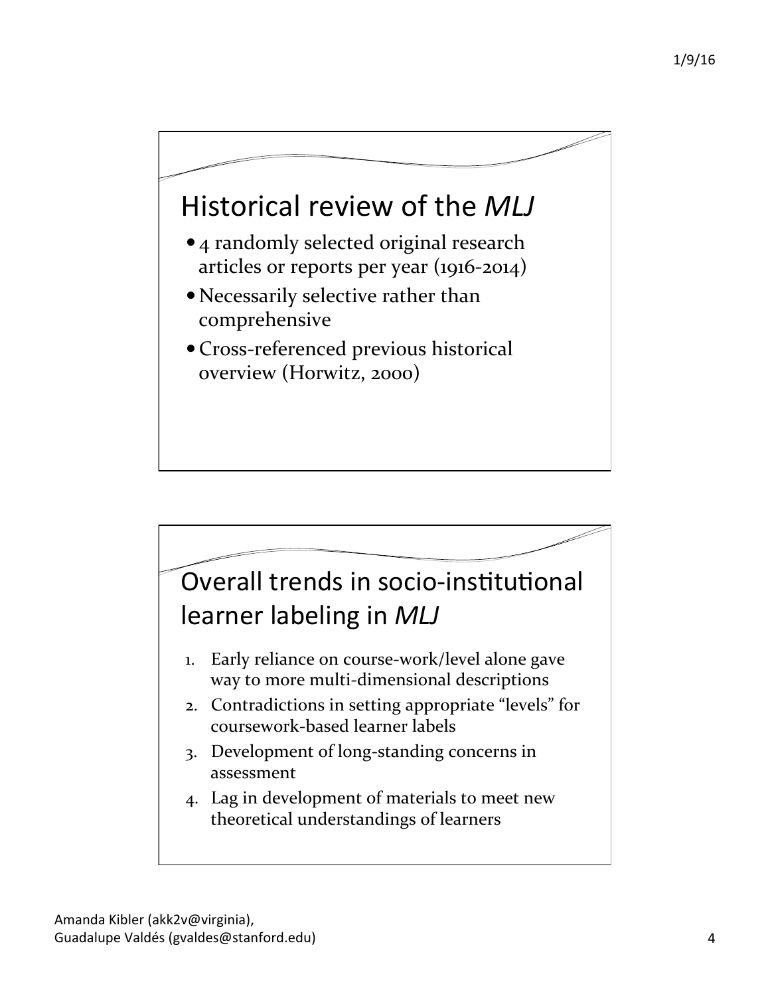## Historical review of the *MLJ*

- 4 randomly selected original research articles or reports per year  $(1916-2014)$
- Necessarily selective rather than comprehensive
- Cross-referenced previous historical overview (Horwitz, 2000)

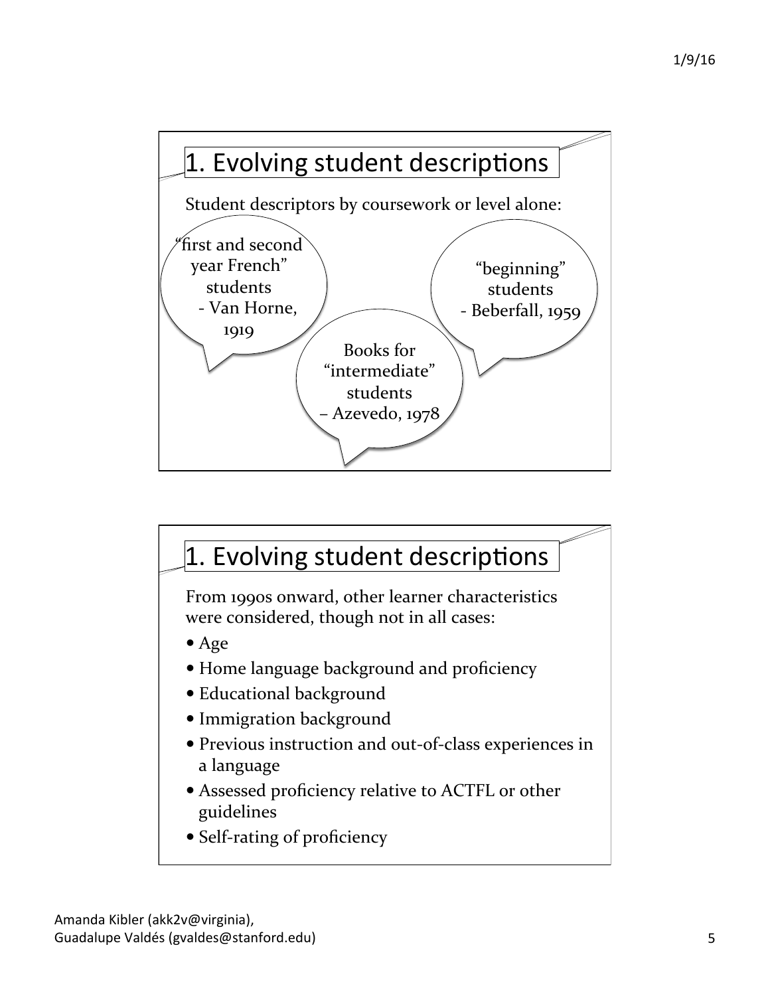

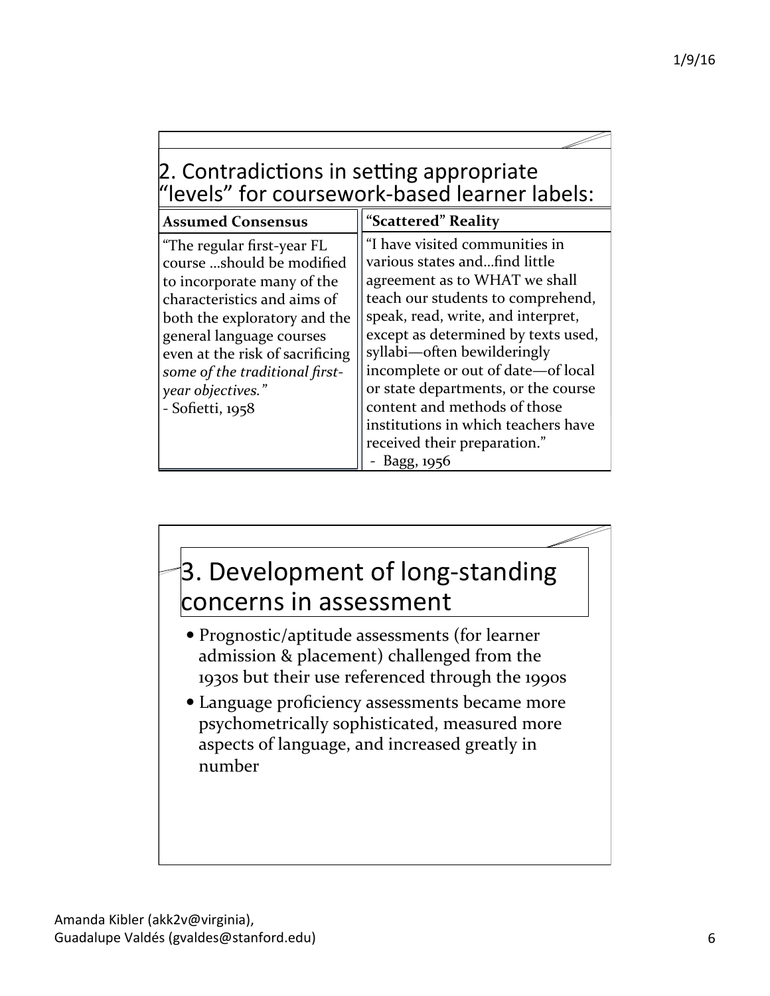| 2. Contradictions in setting appropriate      |
|-----------------------------------------------|
| "levels" for coursework-based learner labels: |

| "I have visited communities in<br>various states andfind little<br>agreement as to WHAT we shall<br>teach our students to comprehend,<br>speak, read, write, and interpret,<br>except as determined by texts used,<br>syllabi—often bewilderingly<br>incomplete or out of date—of local<br>or state departments, or the course<br>content and methods of those<br>institutions in which teachers have<br>received their preparation."<br>Bagg, 1956 |
|-----------------------------------------------------------------------------------------------------------------------------------------------------------------------------------------------------------------------------------------------------------------------------------------------------------------------------------------------------------------------------------------------------------------------------------------------------|
|                                                                                                                                                                                                                                                                                                                                                                                                                                                     |

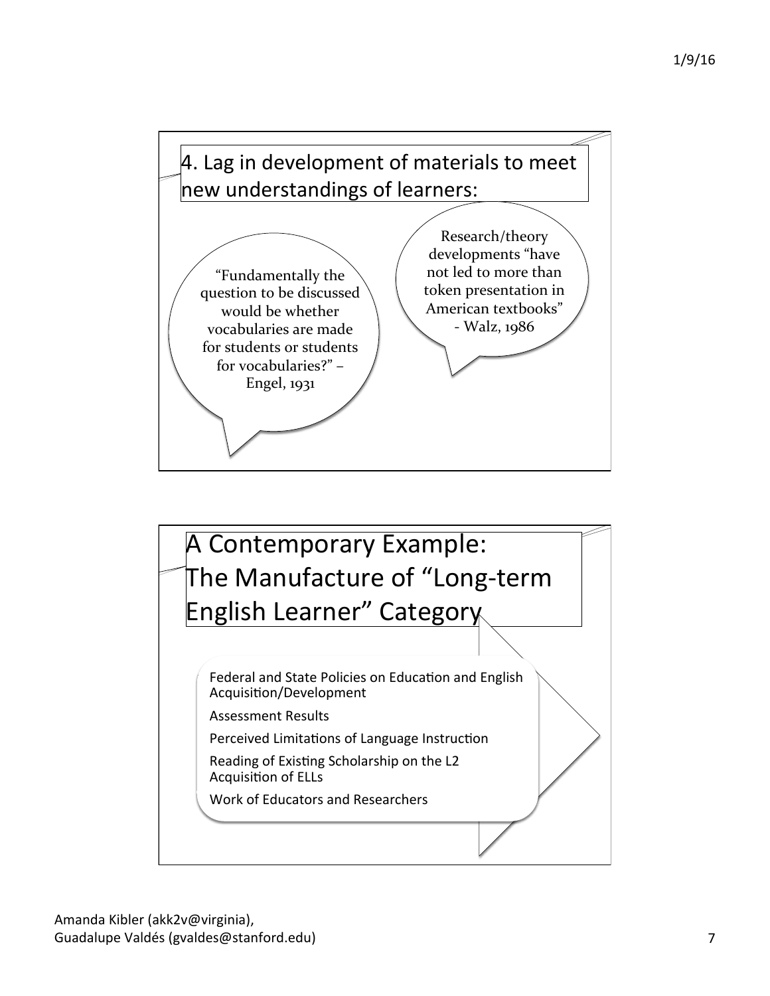